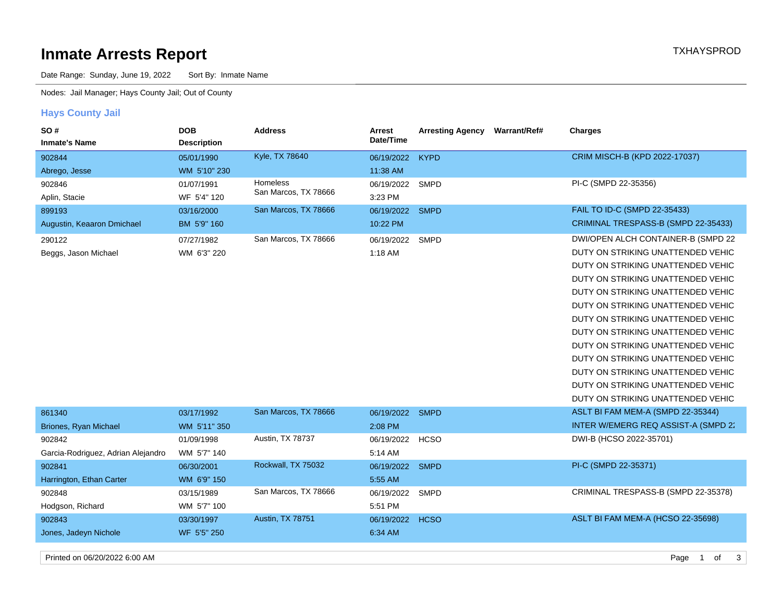# **Inmate Arrests Report TXHAYSPROD Inmate Arrests Report**

Date Range: Sunday, June 19, 2022 Sort By: Inmate Name

Nodes: Jail Manager; Hays County Jail; Out of County

## **Hays County Jail**

| SO#                                | <b>DOB</b>         | <b>Address</b>       | Arrest     | <b>Arresting Agency</b> | <b>Warrant/Ref#</b> | <b>Charges</b>                       |
|------------------------------------|--------------------|----------------------|------------|-------------------------|---------------------|--------------------------------------|
| <b>Inmate's Name</b>               | <b>Description</b> |                      | Date/Time  |                         |                     |                                      |
| 902844                             | 05/01/1990         | Kyle, TX 78640       | 06/19/2022 | <b>KYPD</b>             |                     | CRIM MISCH-B (KPD 2022-17037)        |
| Abrego, Jesse                      | WM 5'10" 230       |                      | 11:38 AM   |                         |                     |                                      |
| 902846                             | 01/07/1991         | <b>Homeless</b>      | 06/19/2022 | <b>SMPD</b>             |                     | PI-C (SMPD 22-35356)                 |
| Aplin, Stacie                      | WF 5'4" 120        | San Marcos, TX 78666 | 3:23 PM    |                         |                     |                                      |
| 899193                             | 03/16/2000         | San Marcos, TX 78666 | 06/19/2022 | <b>SMPD</b>             |                     | FAIL TO ID-C (SMPD 22-35433)         |
| Augustin, Keaaron Dmichael         | BM 5'9" 160        |                      | 10:22 PM   |                         |                     | CRIMINAL TRESPASS-B (SMPD 22-35433)  |
| 290122                             | 07/27/1982         | San Marcos, TX 78666 | 06/19/2022 | <b>SMPD</b>             |                     | DWI/OPEN ALCH CONTAINER-B (SMPD 22)  |
| Beggs, Jason Michael               | WM 6'3" 220        |                      | 1:18 AM    |                         |                     | DUTY ON STRIKING UNATTENDED VEHIC    |
|                                    |                    |                      |            |                         |                     | DUTY ON STRIKING UNATTENDED VEHIC    |
|                                    |                    |                      |            |                         |                     | DUTY ON STRIKING UNATTENDED VEHIC    |
|                                    |                    |                      |            |                         |                     | DUTY ON STRIKING UNATTENDED VEHIC    |
|                                    |                    |                      |            |                         |                     | DUTY ON STRIKING UNATTENDED VEHIC    |
|                                    |                    |                      |            |                         |                     | DUTY ON STRIKING UNATTENDED VEHIC    |
|                                    |                    |                      |            |                         |                     | DUTY ON STRIKING UNATTENDED VEHIC    |
|                                    |                    |                      |            |                         |                     | DUTY ON STRIKING UNATTENDED VEHIC    |
|                                    |                    |                      |            |                         |                     | DUTY ON STRIKING UNATTENDED VEHIC    |
|                                    |                    |                      |            |                         |                     | DUTY ON STRIKING UNATTENDED VEHIC    |
|                                    |                    |                      |            |                         |                     | DUTY ON STRIKING UNATTENDED VEHIC    |
|                                    |                    |                      |            |                         |                     | DUTY ON STRIKING UNATTENDED VEHIC    |
| 861340                             | 03/17/1992         | San Marcos, TX 78666 | 06/19/2022 | <b>SMPD</b>             |                     | ASLT BI FAM MEM-A (SMPD 22-35344)    |
| Briones, Ryan Michael              | WM 5'11" 350       |                      | 2:08 PM    |                         |                     | INTER W/EMERG REQ ASSIST-A (SMPD 22) |
| 902842                             | 01/09/1998         | Austin, TX 78737     | 06/19/2022 | <b>HCSO</b>             |                     | DWI-B (HCSO 2022-35701)              |
| Garcia-Rodriguez, Adrian Alejandro | WM 5'7" 140        |                      | 5:14 AM    |                         |                     |                                      |
| 902841                             | 06/30/2001         | Rockwall, TX 75032   | 06/19/2022 | <b>SMPD</b>             |                     | PI-C (SMPD 22-35371)                 |
| Harrington, Ethan Carter           | WM 6'9" 150        |                      | 5:55 AM    |                         |                     |                                      |
| 902848                             | 03/15/1989         | San Marcos, TX 78666 | 06/19/2022 | <b>SMPD</b>             |                     | CRIMINAL TRESPASS-B (SMPD 22-35378)  |
| Hodgson, Richard                   | WM 5'7" 100        |                      | 5:51 PM    |                         |                     |                                      |
| 902843                             | 03/30/1997         | Austin, TX 78751     | 06/19/2022 | <b>HCSO</b>             |                     | ASLT BI FAM MEM-A (HCSO 22-35698)    |
| Jones, Jadeyn Nichole              | WF 5'5" 250        |                      | 6:34 AM    |                         |                     |                                      |
| Printed on 06/20/2022 6:00 AM      |                    |                      |            |                         |                     | Page<br>3<br>$\overline{1}$<br>of    |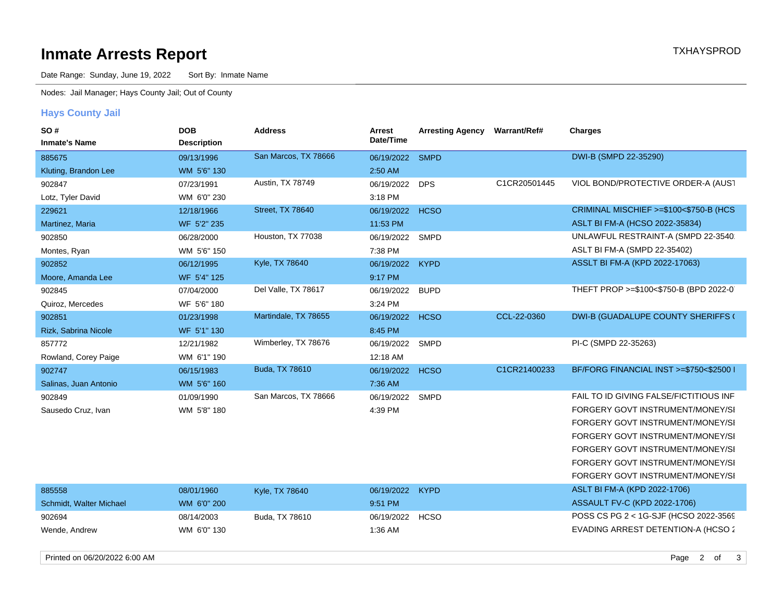# **Inmate Arrests Report TXHAYSPROD Inmate Arrests Report**

Date Range: Sunday, June 19, 2022 Sort By: Inmate Name

Nodes: Jail Manager; Hays County Jail; Out of County

## **Hays County Jail**

| SO#                     | <b>DOB</b>         | <b>Address</b>       | Arrest     | <b>Arresting Agency</b> | <b>Warrant/Ref#</b> | Charges                                 |
|-------------------------|--------------------|----------------------|------------|-------------------------|---------------------|-----------------------------------------|
| <b>Inmate's Name</b>    | <b>Description</b> |                      | Date/Time  |                         |                     |                                         |
| 885675                  | 09/13/1996         | San Marcos, TX 78666 | 06/19/2022 | <b>SMPD</b>             |                     | DWI-B (SMPD 22-35290)                   |
| Kluting, Brandon Lee    | WM 5'6" 130        |                      | 2:50 AM    |                         |                     |                                         |
| 902847                  | 07/23/1991         | Austin, TX 78749     | 06/19/2022 | <b>DPS</b>              | C1CR20501445        | VIOL BOND/PROTECTIVE ORDER-A (AUST      |
| Lotz, Tyler David       | WM 6'0" 230        |                      | 3:18 PM    |                         |                     |                                         |
| 229621                  | 12/18/1966         | Street, TX 78640     | 06/19/2022 | <b>HCSO</b>             |                     | CRIMINAL MISCHIEF >=\$100<\$750-B (HCS  |
| Martinez, Maria         | WF 5'2" 235        |                      | 11:53 PM   |                         |                     | ASLT BI FM-A (HCSO 2022-35834)          |
| 902850                  | 06/28/2000         | Houston, TX 77038    | 06/19/2022 | <b>SMPD</b>             |                     | UNLAWFUL RESTRAINT-A (SMPD 22-3540.     |
| Montes, Ryan            | WM 5'6" 150        |                      | 7:38 PM    |                         |                     | ASLT BI FM-A (SMPD 22-35402)            |
| 902852                  | 06/12/1995         | Kyle, TX 78640       | 06/19/2022 | <b>KYPD</b>             |                     | ASSLT BI FM-A (KPD 2022-17063)          |
| Moore, Amanda Lee       | WF 5'4" 125        |                      | 9:17 PM    |                         |                     |                                         |
| 902845                  | 07/04/2000         | Del Valle, TX 78617  | 06/19/2022 | <b>BUPD</b>             |                     | THEFT PROP >=\$100<\$750-B (BPD 2022-0) |
| Quiroz, Mercedes        | WF 5'6" 180        |                      | 3:24 PM    |                         |                     |                                         |
| 902851                  | 01/23/1998         | Martindale, TX 78655 | 06/19/2022 | <b>HCSO</b>             | CCL-22-0360         | DWI-B (GUADALUPE COUNTY SHERIFFS (      |
| Rizk, Sabrina Nicole    | WF 5'1" 130        |                      | 8:45 PM    |                         |                     |                                         |
| 857772                  | 12/21/1982         | Wimberley, TX 78676  | 06/19/2022 | SMPD                    |                     | PI-C (SMPD 22-35263)                    |
| Rowland, Corey Paige    | WM 6'1" 190        |                      | 12:18 AM   |                         |                     |                                         |
| 902747                  | 06/15/1983         | Buda, TX 78610       | 06/19/2022 | <b>HCSO</b>             | C1CR21400233        | BF/FORG FINANCIAL INST >=\$750<\$2500 I |
| Salinas, Juan Antonio   | WM 5'6" 160        |                      | 7:36 AM    |                         |                     |                                         |
| 902849                  | 01/09/1990         | San Marcos, TX 78666 | 06/19/2022 | SMPD                    |                     | FAIL TO ID GIVING FALSE/FICTITIOUS INF  |
| Sausedo Cruz, Ivan      | WM 5'8" 180        |                      | 4:39 PM    |                         |                     | FORGERY GOVT INSTRUMENT/MONEY/SI        |
|                         |                    |                      |            |                         |                     | FORGERY GOVT INSTRUMENT/MONEY/SI        |
|                         |                    |                      |            |                         |                     | FORGERY GOVT INSTRUMENT/MONEY/SI        |
|                         |                    |                      |            |                         |                     | FORGERY GOVT INSTRUMENT/MONEY/SI        |
|                         |                    |                      |            |                         |                     | FORGERY GOVT INSTRUMENT/MONEY/SI        |
|                         |                    |                      |            |                         |                     | FORGERY GOVT INSTRUMENT/MONEY/SI        |
| 885558                  | 08/01/1960         | Kyle, TX 78640       | 06/19/2022 | <b>KYPD</b>             |                     | ASLT BI FM-A (KPD 2022-1706)            |
| Schmidt, Walter Michael | WM 6'0" 200        |                      | 9:51 PM    |                         |                     | ASSAULT FV-C (KPD 2022-1706)            |
| 902694                  | 08/14/2003         | Buda, TX 78610       | 06/19/2022 | <b>HCSO</b>             |                     | POSS CS PG 2 < 1G-SJF (HCSO 2022-3569)  |
| Wende, Andrew           | WM 6'0" 130        |                      | 1:36 AM    |                         |                     | EVADING ARREST DETENTION-A (HCSO 2      |

Printed on 06/20/2022 6:00 AM 3of2Page